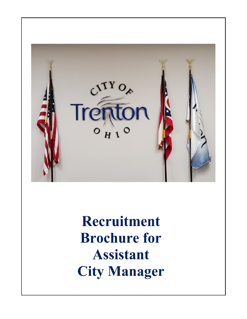

Recruitment **Brochure for Assistant City Manager**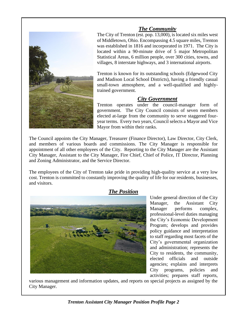

#### *The Community*

The City of Trenton (est. pop. 13,000), is located six miles west of Middletown, Ohio. Encompassing 4.5 square miles, Trenton was established in 1816 and incorporated in 1971. The City is located within a 90-minute drive of 5 major Metropolitan Statistical Areas, 6 million people, over 300 cities, towns, and villages, 8 interstate highways, and 3 international airports.

Trenton is known for its outstanding schools (Edgewood City and Madison Local School Districts), having a friendly casual small-town atmosphere, and a well-qualified and highlytrained government.

#### *City Government*

Trenton operates under the council-manager form of government. The City Council consists of seven members elected at-large from the community to serve staggered fouryear terms. Every two years, Council selects a Mayor and Vice Mayor from within their ranks.

The Council appoints the City Manager, Treasurer (Finance Director), Law Director, City Clerk, and members of various boards and commissions. The City Manager is responsible for appointment of all other employees of the City. Reporting to the City Manager are the Assistant City Manager, Assistant to the City Manager, Fire Chief, Chief of Police, IT Director, Planning and Zoning Administrator, and the Service Director.

The employees of the City of Trenton take pride in providing high-quality service at a very low cost. Trenton is committed to constantly improving the quality of life for our residents, businesses, and visitors.

#### *The Position*



Under general direction of the City Manager, the Assistant City Manager performs complex, professional-level duties managing the City's Economic Development Program; develops and provides policy guidance and interpretation to staff regarding most facets of the City's governmental organization and administration; represents the City to residents, the community, elected officials and outside agencies; explains and interprets City programs, policies and activities; prepares staff reports,

various management and information updates, and reports on special projects as assigned by the City Manager.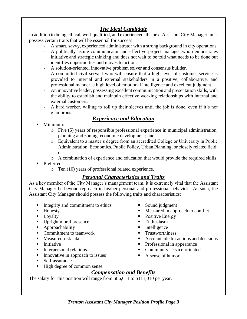# *The Ideal Candidate*

In addition to being ethical, well-qualified, and experienced, the next Assistant City Manager must possess certain traits that will be essential for success:

- A smart, savvy, experienced administrator with a strong background in city operations.
- A politically astute communicator and effective project manager who demonstrates initiative and strategic thinking and does not wait to be told what needs to be done but identifies opportunities and moves to action.
- A solution-oriented, innovative problem solver and consensus builder.
- A committed civil servant who will ensure that a high level of customer service is provided to internal and external stakeholders in a positive, collaborative, and professional manner, a high level of emotional intelligence and excellent judgment.
- An innovative leader, possessing excellent communication and presentation skills, with the ability to establish and maintain effective working relationships with internal and external customers.
- A hard worker, willing to roll up their sleeves until the job is done, even if it's not glamorous.

### *Experience and Education*

- Minimum:
	- o Five (5) years of responsible professional experience in municipal administration, planning and zoning, economic development; and
	- o Equivalent to a master's degree from an accredited College or University in Public Administration, Economics, Public Policy, Urban Planning, or closely related field; or
	- o A combination of experience and education that would provide the required skills
- Preferred:
	- o Ten (10) years of professional related experience.

## *Personal Characteristics and Traits*

As a key member of the City Manager's management team, it is extremely vital that the Assistant City Manager be beyond reproach in his/her personal and professional behavior. As such, the Assistant City Manager should possess the following traits and characteristics:

- Integrity and commitment to ethics
- Honesty
- Loyalty
- Upright moral presence
- Approachability
- Commitment to teamwork
- Measured risk taker
- Initiative
- Interpersonal relations
- Innovative in approach to issues
- Self-assurance
- High degree of common sense
- Sound judgment
- Measured in approach to conflict
- Positive Energy
- **Enthusiasm**
- Intelligence
- **•** Trustworthiness
- Accountable for actions and decisions
- Professional in appearance
- Community service-oriented
- A sense of humor

## *Compensation and Benefits*

The salary for this position will range from \$86,611 to \$111,010 per year.